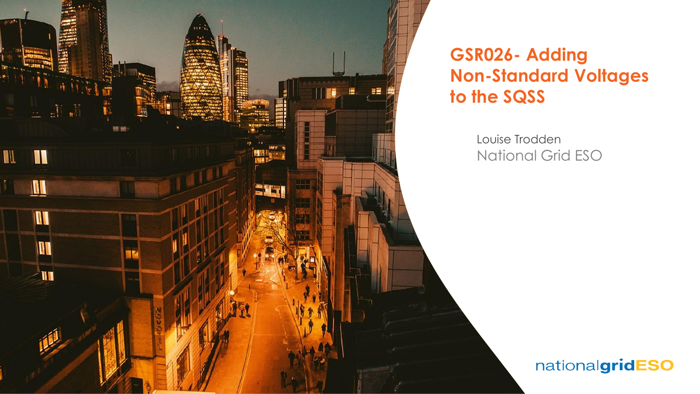

## **GSR026- Adding Non-Standard Voltages to the SQSS**

Louise Trodden National Grid ESO

### nationalgridESO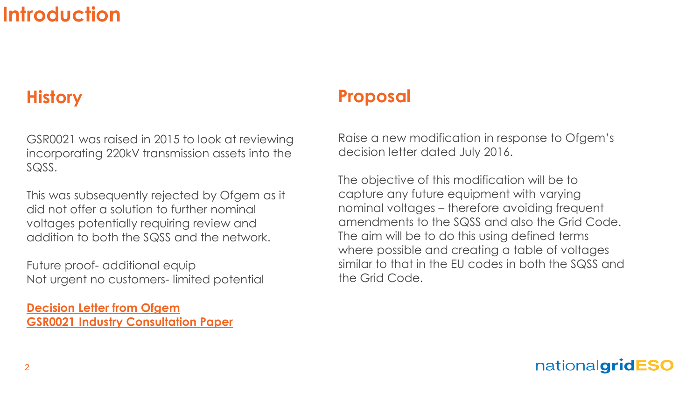# **Introduction**

## **History**

GSR0021 was raised in 2015 to look at reviewing incorporating 220kV transmission assets into the SQSS.

This was subsequently rejected by Ofgem as it did not offer a solution to further nominal voltages potentially requiring review and addition to both the SQSS and the network.

Future proof- additional equip Not urgent no customers- limited potential

**[Decision Letter from Ofgem](https://www.nationalgrideso.com/document/15301/download) [GSR0021 Industry Consultation Paper](https://www.nationalgrideso.com/document/15316/download)**

### **Proposal**

Raise a new modification in response to Ofgem's decision letter dated July 2016.

The objective of this modification will be to capture any future equipment with varying nominal voltages – therefore avoiding frequent amendments to the SQSS and also the Grid Code. The aim will be to do this using defined terms where possible and creating a table of voltages similar to that in the EU codes in both the SQSS and the Grid Code.

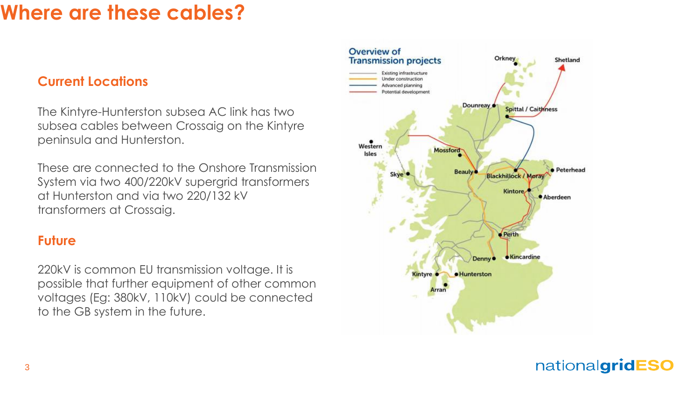# **Where are these cables?**

### **Current Locations**

The Kintyre-Hunterston subsea AC link has two subsea cables between Crossaig on the Kintyre peninsula and Hunterston.

These are connected to the Onshore Transmission System via two 400/220kV supergrid transformers at Hunterston and via two 220/132 kV transformers at Crossaig.

#### **Future**

220kV is common EU transmission voltage. It is possible that further equipment of other common voltages (Eg: 380kV, 110kV) could be connected to the GB system in the future.



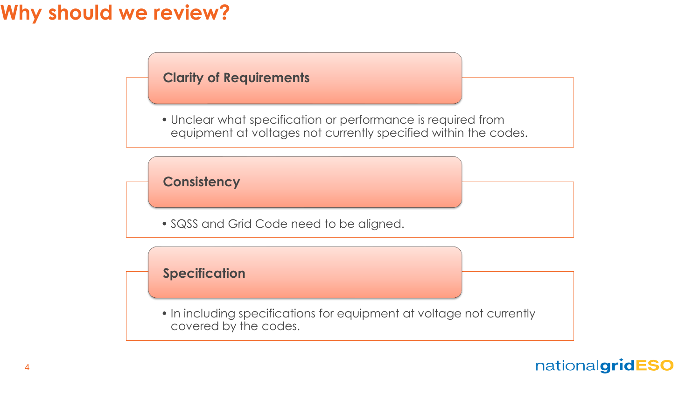# **Why should we review?**

### **Clarity of Requirements**

• Unclear what specification or performance is required from equipment at voltages not currently specified within the codes.

### **Consistency**

• SQSS and Grid Code need to be aligned.

### **Specification**

• In including specifications for equipment at voltage not currently covered by the codes.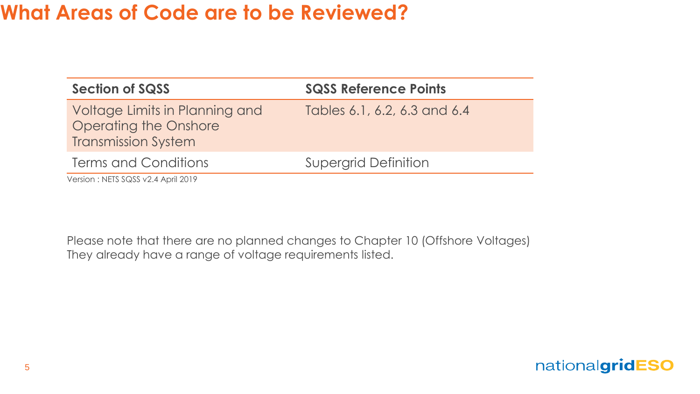# **What Areas of Code are to be Reviewed?**

| <b>Section of SQSS</b>                                                                       | <b>SQSS Reference Points</b> |
|----------------------------------------------------------------------------------------------|------------------------------|
| Voltage Limits in Planning and<br><b>Operating the Onshore</b><br><b>Transmission System</b> | Tables 6.1, 6.2, 6.3 and 6.4 |
| Terms and Conditions                                                                         | <b>Supergrid Definition</b>  |
| Version: NETS SQSS v2.4 April 2019                                                           |                              |

Please note that there are no planned changes to Chapter 10 (Offshore Voltages) They already have a range of voltage requirements listed.

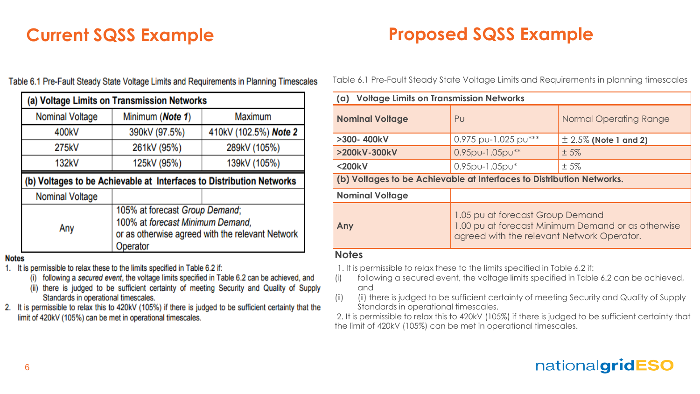## **Current SQSS Example Proposed SQSS Example**

| (a) Voltage Limits on Transmission Networks                          |                  |                       |
|----------------------------------------------------------------------|------------------|-----------------------|
| <b>Nominal Voltage</b>                                               | Minimum (Note 1) | Maximum               |
| 400kV                                                                | 390kV (97.5%)    | 410kV (102.5%) Note 2 |
| 275kV                                                                | 261kV (95%)      | 289kV (105%)          |
| 132kV                                                                | 125kV (95%)      | 139kV (105%)          |
| (b) Voltages to be Achievable at Interfaces to Distribution Networks |                  |                       |
|                                                                      |                  |                       |
| <b>Nominal Voltage</b>                                               |                  |                       |

Table 6.1 Pre-Fault Steady State Voltage Limits and Requirements in Planning Timescales

**Notes** 

- 1. It is permissible to relax these to the limits specified in Table 6.2 if:
	- (i) following a secured event, the voltage limits specified in Table 6.2 can be achieved, and
	- (ii) there is judged to be sufficient certainty of meeting Security and Quality of Supply Standards in operational timescales.
- 2. It is permissible to relax this to 420kV (105%) if there is judged to be sufficient certainty that the limit of 420kV (105%) can be met in operational timescales.

Table 6.1 Pre-Fault Steady State Voltage Limits and Requirements in planning timescales

| (a) Voltage Limits on Transmission Networks                           |                                                                                                                                      |                           |
|-----------------------------------------------------------------------|--------------------------------------------------------------------------------------------------------------------------------------|---------------------------|
| <b>Nominal Voltage</b>                                                | Pu                                                                                                                                   | Normal Operating Range    |
| >300-400kV                                                            | $0.975$ pu-1.025 pu***                                                                                                               | $\pm$ 2.5% (Note 1 and 2) |
| >200kV-300kV                                                          | 0.95pu-1.05pu**                                                                                                                      | $±5\%$                    |
| <200kV                                                                | $0.95$ pu-1.05pu $*$                                                                                                                 | $±5\%$                    |
| (b) Voltages to be Achievable at Interfaces to Distribution Networks. |                                                                                                                                      |                           |
| <b>Nominal Voltage</b>                                                |                                                                                                                                      |                           |
| Any                                                                   | 1.05 pu at forecast Group Demand<br>1.00 pu at forecast Minimum Demand or as otherwise<br>agreed with the relevant Network Operator. |                           |
| <b>Notes</b>                                                          |                                                                                                                                      |                           |

1. It is permissible to relax these to the limits specified in Table 6.2 if:

(i) following a secured event, the voltage limits specified in Table 6.2 can be achieved, and

(ii) (ii) there is judged to be sufficient certainty of meeting Security and Quality of Supply Standards in operational timescales.

2. It is permissible to relax this to 420kV (105%) if there is judged to be sufficient certainty that the limit of 420kV (105%) can be met in operational timescales.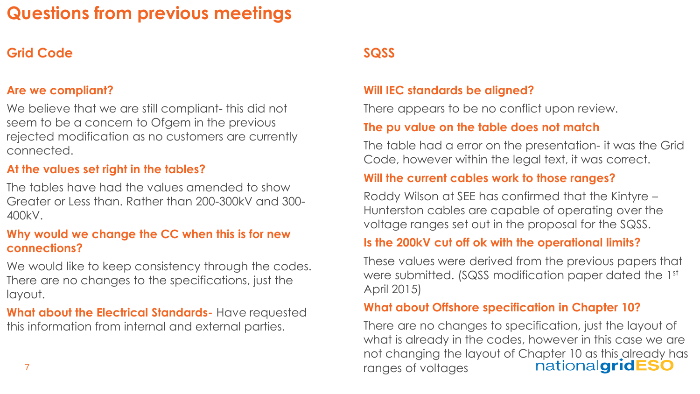# **Questions from previous meetings**

### **Grid Code**

#### **Are we compliant?**

We believe that we are still compliant- this did not seem to be a concern to Ofgem in the previous rejected modification as no customers are currently connected.

#### **At the values set right in the tables?**

The tables have had the values amended to show Greater or Less than. Rather than 200-300kV and 300- 400kV.

#### **Why would we change the CC when this is for new connections?**

We would like to keep consistency through the codes. There are no changes to the specifications, just the layout.

#### **What about the Electrical Standards-** Have requested this information from internal and external parties.

### **SQSS**

#### **Will IEC standards be aligned?**

There appears to be no conflict upon review.

#### **The pu value on the table does not match**

The table had a error on the presentation- it was the Grid Code, however within the legal text, it was correct.

#### **Will the current cables work to those ranges?**

Roddy Wilson at SEE has confirmed that the Kintyre – Hunterston cables are capable of operating over the voltage ranges set out in the proposal for the SQSS.

#### **Is the 200kV cut off ok with the operational limits?**

These values were derived from the previous papers that were submitted. (SQSS modification paper dated the 1st April 2015)

#### **What about Offshore specification in Chapter 10?**

There are no changes to specification, just the layout of what is already in the codes, however in this case we are not changing the layout of Chapter 10 as this already has nationalgridESO ranges of voltages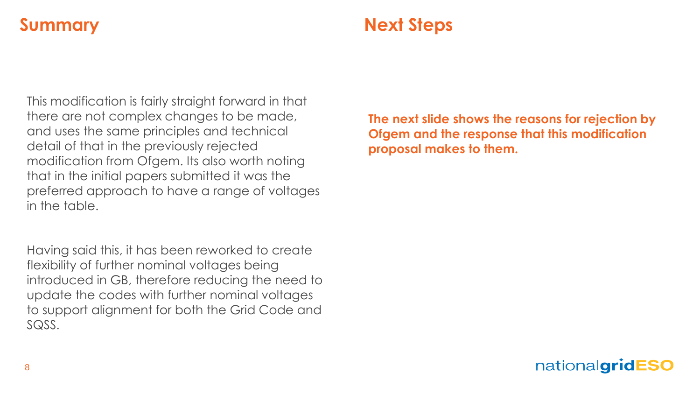### **Summary Next Steps**

This modification is fairly straight forward in that there are not complex changes to be made, and uses the same principles and technical detail of that in the previously rejected modification from Ofgem. Its also worth noting that in the initial papers submitted it was the preferred approach to have a range of voltages in the table.

Having said this, it has been reworked to create flexibility of further nominal voltages being introduced in GB, therefore reducing the need to update the codes with further nominal voltages to support alignment for both the Grid Code and SQSS.

**The next slide shows the reasons for rejection by Ofgem and the response that this modification proposal makes to them.**

### nationalgridESO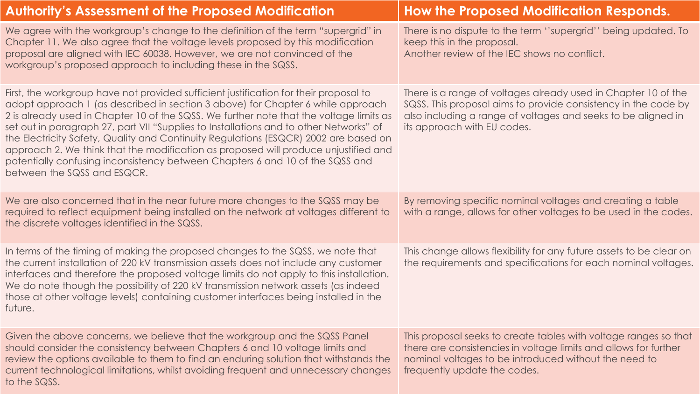| <b>Authority's Assessment of the Proposed Modification</b>                                                                                                                                                                                                                                                                                                                                                                                                                                                                                                                                                                                                   | <b>How the Proposed Modification Responds.</b>                                                                                                                                                                                   |
|--------------------------------------------------------------------------------------------------------------------------------------------------------------------------------------------------------------------------------------------------------------------------------------------------------------------------------------------------------------------------------------------------------------------------------------------------------------------------------------------------------------------------------------------------------------------------------------------------------------------------------------------------------------|----------------------------------------------------------------------------------------------------------------------------------------------------------------------------------------------------------------------------------|
| We agree with the workgroup's change to the definition of the term "supergrid" in<br>Chapter 11. We also agree that the voltage levels proposed by this modification<br>proposal are aligned with IEC 60038. However, we are not convinced of the<br>workgroup's proposed approach to including these in the SQSS.                                                                                                                                                                                                                                                                                                                                           | There is no dispute to the term "supergrid" being updated. To<br>keep this in the proposal.<br>Another review of the IEC shows no conflict.                                                                                      |
| First, the workgroup have not provided sufficient justification for their proposal to<br>adopt approach 1 (as described in section 3 above) for Chapter 6 while approach<br>2 is already used in Chapter 10 of the SQSS. We further note that the voltage limits as<br>set out in paragraph 27, part VII "Supplies to Installations and to other Networks" of<br>the Electricity Safety, Quality and Continuity Regulations (ESQCR) 2002 are based on<br>approach 2. We think that the modification as proposed will produce unjustified and<br>potentially confusing inconsistency between Chapters 6 and 10 of the SQSS and<br>between the SQSS and ESQCR. | There is a range of voltages already used in Chapter 10 of the<br>SQSS. This proposal aims to provide consistency in the code by<br>also including a range of voltages and seeks to be aligned in<br>its approach with EU codes. |
| We are also concerned that in the near future more changes to the SQSS may be<br>required to reflect equipment being installed on the network at voltages different to<br>the discrete voltages identified in the SQSS.                                                                                                                                                                                                                                                                                                                                                                                                                                      | By removing specific nominal voltages and creating a table<br>with a range, allows for other voltages to be used in the codes.                                                                                                   |
| In terms of the timing of making the proposed changes to the SQSS, we note that<br>the current installation of 220 kV transmission assets does not include any customer<br>interfaces and therefore the proposed voltage limits do not apply to this installation.<br>We do note though the possibility of 220 kV transmission network assets (as indeed<br>those at other voltage levels) containing customer interfaces being installed in the<br>future.                                                                                                                                                                                                  | This change allows flexibility for any future assets to be clear on<br>the requirements and specifications for each nominal voltages.                                                                                            |
| Given the above concerns, we believe that the workgroup and the SQSS Panel<br>should consider the consistency between Chapters 6 and 10 voltage limits and<br>review the options available to them to find an enduring solution that withstands the<br>current technological limitations, whilst avoiding frequent and unnecessary changes<br>to the SQSS.                                                                                                                                                                                                                                                                                                   | This proposal seeks to create tables with voltage ranges so that<br>there are consistencies in voltage limits and allows for further<br>nominal voltages to be introduced without the need to<br>frequently update the codes.    |